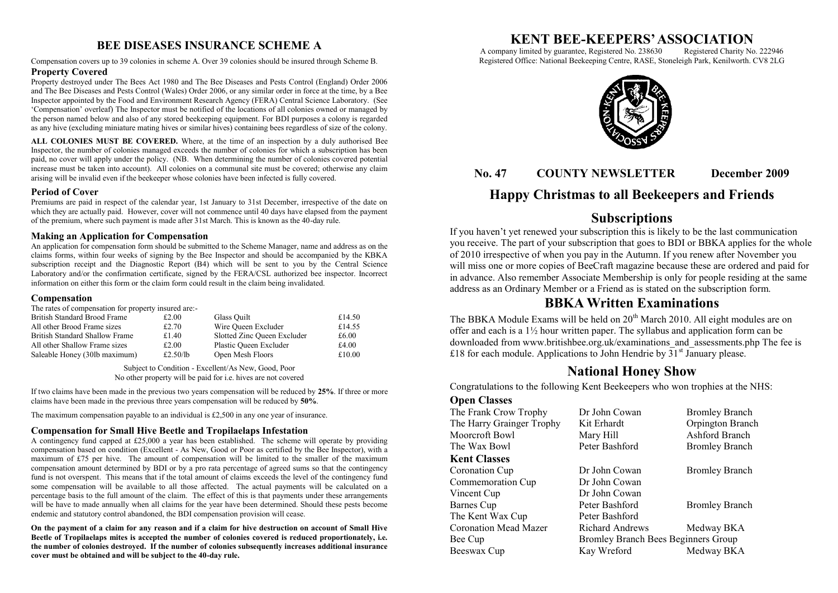## **BEE DISEASES INSURANCE SCHEME A**

Compensation covers up to 39 colonies in scheme A. Over 39 colonies should be insured through Scheme B.

#### **Property Covered**

Property destroyed under The Bees Act 1980 and The Bee Diseases and Pests Control (England) Order 2006 and The Bee Diseases and Pests Control (Wales) Order 2006, or any similar order in force at the time, by a Bee Inspector appointed by the Food and Environment Research Agency (FERA) Central Science Laboratory. (See "Compensation" overleaf) The Inspector must be notified of the locations of all colonies owned or managed by the person named below and also of any stored beekeeping equipment. For BDI purposes a colony is regarded as any hive (excluding miniature mating hives or similar hives) containing bees regardless of size of the colony.

**ALL COLONIES MUST BE COVERED.** Where, at the time of an inspection by a duly authorised Bee Inspector, the number of colonies managed exceeds the number of colonies for which a subscription has been paid, no cover will apply under the policy. (NB. When determining the number of colonies covered potential increase must be taken into account). All colonies on a communal site must be covered; otherwise any claim arising will be invalid even if the beekeeper whose colonies have been infected is fully covered.

#### **Period of Cover**

Premiums are paid in respect of the calendar year, 1st January to 31st December, irrespective of the date on which they are actually paid. However, cover will not commence until 40 days have elapsed from the payment of the premium, where such payment is made after 31st March. This is known as the 40-day rule.

#### **Making an Application for Compensation**

An application for compensation form should be submitted to the Scheme Manager, name and address as on the claims forms, within four weeks of signing by the Bee Inspector and should be accompanied by the KBKA subscription receipt and the Diagnostic Report (B4) which will be sent to you by the Central Science Laboratory and/or the confirmation certificate, signed by the FERA/CSL authorized bee inspector. Incorrect information on either this form or the claim form could result in the claim being invalidated.

#### **Compensation**

| The rates of compensation for property insured are: |          |                             |        |
|-----------------------------------------------------|----------|-----------------------------|--------|
| British Standard Brood Frame                        | £2.00    | Glass Ouilt                 | £14.50 |
| All other Brood Frame sizes                         | £2.70    | Wire Oueen Excluder         | £14.55 |
| British Standard Shallow Frame                      | £1.40    | Slotted Zinc Queen Excluder | £6.00  |
| All other Shallow Frame sizes                       | £2.00    | Plastic Queen Excluder      | £4.00  |
| Saleable Honey (30lb maximum)                       | £2.50/lb | Open Mesh Floors            | £10.00 |

Subject to Condition - Excellent/As New, Good, Poor No other property will be paid for i.e. hives are not covered

If two claims have been made in the previous two years compensation will be reduced by **25%**. If three or more claims have been made in the previous three years compensation will be reduced by **50%**.

The maximum compensation payable to an individual is £2,500 in any one year of insurance.

### **Compensation for Small Hive Beetle and Tropilaelaps Infestation**

A contingency fund capped at £25,000 a year has been established. The scheme will operate by providing compensation based on condition (Excellent - As New, Good or Poor as certified by the Bee Inspector), with a maximum of £75 per hive. The amount of compensation will be limited to the smaller of the maximum compensation amount determined by BDI or by a pro rata percentage of agreed sums so that the contingency fund is not overspent. This means that if the total amount of claims exceeds the level of the contingency fund some compensation will be available to all those affected. The actual payments will be calculated on a percentage basis to the full amount of the claim. The effect of this is that payments under these arrangements will be have to made annually when all claims for the year have been determined. Should these pests become endemic and statutory control abandoned, the BDI compensation provision will cease.

**On the payment of a claim for any reason and if a claim for hive destruction on account of Small Hive Beetle of Tropilaelaps mites is accepted the number of colonies covered is reduced proportionately, i.e. the number of colonies destroyed. If the number of colonies subsequently increases additional insurance cover must be obtained and will be subject to the 40-day rule.**

# **KENT BEE-KEEPERS' ASSOCIATION**<br>Iny limited by guarantee, Registered No. 238630 Registered Charity No. 222946

A company limited by guarantee, Registered No. 238630 Registered Office: National Beekeeping Centre, RASE, Stoneleigh Park, Kenilworth. CV8 2LG



## **No. 47 COUNTY NEWSLETTER December 2009**

## **Happy Christmas to all Beekeepers and Friends**

## **Subscriptions**

If you haven"t yet renewed your subscription this is likely to be the last communication you receive. The part of your subscription that goes to BDI or BBKA applies for the whole of 2010 irrespective of when you pay in the Autumn. If you renew after November you will miss one or more copies of BeeCraft magazine because these are ordered and paid for in advance. Also remember Associate Membership is only for people residing at the same address as an Ordinary Member or a Friend as is stated on the subscription form.

## **BBKA Written Examinations**

The BBKA Module Exams will be held on  $20<sup>th</sup>$  March 2010. All eight modules are on offer and each is a 1½ hour written paper. The syllabus and application form can be downloaded from www.britishbee.org.uk/examinations\_and\_assessments.php The fee is £18 for each module. Applications to John Hendrie by  $31<sup>st</sup>$  January please.

## **National Honey Show**

Congratulations to the following Kent Beekeepers who won trophies at the NHS:

#### **Open Classes**

| The Frank Crow Trophy        | Dr John Cowan                              | <b>Bromley Branch</b> |
|------------------------------|--------------------------------------------|-----------------------|
| The Harry Grainger Trophy    | Kit Erhardt                                | Orpington Branch      |
| Moorcroft Bowl               | Mary Hill                                  | Ashford Branch        |
| The Wax Bowl                 | Peter Bashford                             | <b>Bromley Branch</b> |
| <b>Kent Classes</b>          |                                            |                       |
| <b>Coronation Cup</b>        | Dr John Cowan                              | <b>Bromley Branch</b> |
| Commemoration Cup            | Dr John Cowan                              |                       |
| Vincent Cup                  | Dr John Cowan                              |                       |
| Barnes Cup                   | Peter Bashford                             | <b>Bromley Branch</b> |
| The Kent Wax Cup             | Peter Bashford                             |                       |
| <b>Coronation Mead Mazer</b> | <b>Richard Andrews</b>                     | Medway BKA            |
| Bee Cup                      | <b>Bromley Branch Bees Beginners Group</b> |                       |
| Beeswax Cup                  | Kay Wreford                                | Medway BKA            |
|                              |                                            |                       |